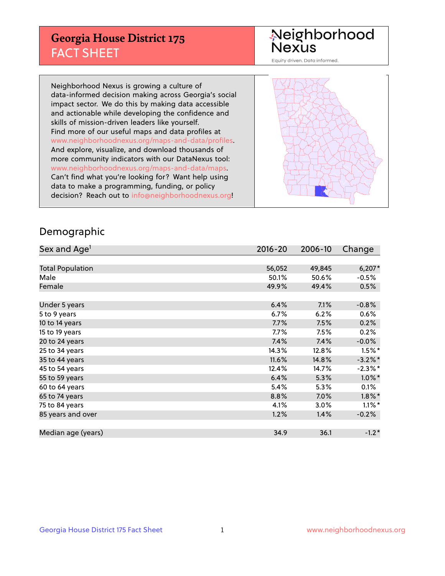## **Georgia House District 175** FACT SHEET

# Neighborhood<br>Nexus

Equity driven. Data informed.

Neighborhood Nexus is growing a culture of data-informed decision making across Georgia's social impact sector. We do this by making data accessible and actionable while developing the confidence and skills of mission-driven leaders like yourself. Find more of our useful maps and data profiles at www.neighborhoodnexus.org/maps-and-data/profiles. And explore, visualize, and download thousands of more community indicators with our DataNexus tool: www.neighborhoodnexus.org/maps-and-data/maps. Can't find what you're looking for? Want help using data to make a programming, funding, or policy decision? Reach out to [info@neighborhoodnexus.org!](mailto:info@neighborhoodnexus.org)



### Demographic

| Sex and Age <sup>1</sup> | $2016 - 20$ | 2006-10 | Change               |
|--------------------------|-------------|---------|----------------------|
|                          |             |         |                      |
| <b>Total Population</b>  | 56,052      | 49,845  | $6,207*$             |
| Male                     | 50.1%       | 50.6%   | $-0.5%$              |
| Female                   | 49.9%       | 49.4%   | 0.5%                 |
|                          |             |         |                      |
| Under 5 years            | 6.4%        | 7.1%    | $-0.8%$              |
| 5 to 9 years             | $6.7\%$     | 6.2%    | 0.6%                 |
| 10 to 14 years           | 7.7%        | 7.5%    | 0.2%                 |
| 15 to 19 years           | 7.7%        | 7.5%    | 0.2%                 |
| 20 to 24 years           | 7.4%        | 7.4%    | $-0.0%$              |
| 25 to 34 years           | 14.3%       | 12.8%   | $1.5\%$ *            |
| 35 to 44 years           | 11.6%       | 14.8%   | $-3.2\%$ *           |
| 45 to 54 years           | 12.4%       | 14.7%   | $-2.3\%$ *           |
| 55 to 59 years           | 6.4%        | 5.3%    | $1.0\%$ *            |
| 60 to 64 years           | 5.4%        | 5.3%    | 0.1%                 |
| 65 to 74 years           | 8.8%        | 7.0%    | $1.8\%$ *            |
| 75 to 84 years           | 4.1%        | 3.0%    | $1.1\%$ <sup>*</sup> |
| 85 years and over        | 1.2%        | 1.4%    | $-0.2%$              |
|                          |             |         |                      |
| Median age (years)       | 34.9        | 36.1    | $-1.2*$              |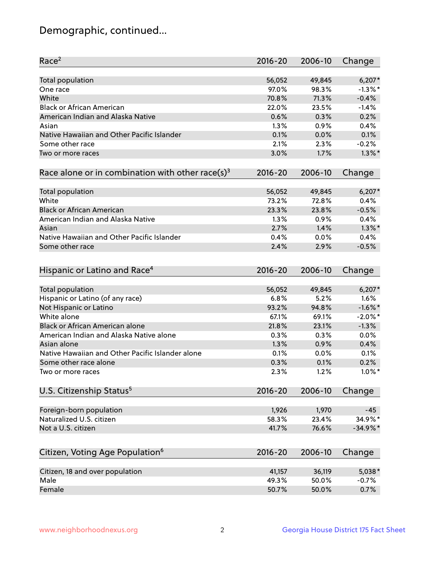## Demographic, continued...

| Race <sup>2</sup>                                            | $2016 - 20$ | 2006-10 | Change     |
|--------------------------------------------------------------|-------------|---------|------------|
| <b>Total population</b>                                      | 56,052      | 49,845  | $6,207*$   |
| One race                                                     | 97.0%       | 98.3%   | $-1.3\%$ * |
| White                                                        | 70.8%       | 71.3%   | $-0.4%$    |
| <b>Black or African American</b>                             | 22.0%       | 23.5%   | $-1.4%$    |
| American Indian and Alaska Native                            | 0.6%        | 0.3%    | 0.2%       |
| Asian                                                        | 1.3%        | 0.9%    | 0.4%       |
| Native Hawaiian and Other Pacific Islander                   | 0.1%        | 0.0%    | 0.1%       |
| Some other race                                              | 2.1%        | 2.3%    | $-0.2%$    |
| Two or more races                                            | 3.0%        | 1.7%    | $1.3\%$ *  |
| Race alone or in combination with other race(s) <sup>3</sup> | $2016 - 20$ | 2006-10 | Change     |
|                                                              |             |         |            |
| Total population                                             | 56,052      | 49,845  | $6,207*$   |
| White                                                        | 73.2%       | 72.8%   | 0.4%       |
| <b>Black or African American</b>                             | 23.3%       | 23.8%   | $-0.5%$    |
| American Indian and Alaska Native                            | 1.3%        | 0.9%    | 0.4%       |
| Asian                                                        | 2.7%        | 1.4%    | $1.3\%$ *  |
| Native Hawaiian and Other Pacific Islander                   | 0.4%        | 0.0%    | 0.4%       |
| Some other race                                              | 2.4%        | 2.9%    | $-0.5%$    |
|                                                              |             |         |            |
| Hispanic or Latino and Race <sup>4</sup>                     | $2016 - 20$ | 2006-10 | Change     |
| <b>Total population</b>                                      | 56,052      | 49,845  | $6,207*$   |
| Hispanic or Latino (of any race)                             | 6.8%        | 5.2%    | 1.6%       |
| Not Hispanic or Latino                                       | 93.2%       | 94.8%   | $-1.6\%$ * |
| White alone                                                  | 67.1%       | 69.1%   | $-2.0\%$ * |
| <b>Black or African American alone</b>                       | 21.8%       | 23.1%   | $-1.3%$    |
| American Indian and Alaska Native alone                      | 0.3%        | 0.3%    | 0.0%       |
| Asian alone                                                  | 1.3%        | 0.9%    | 0.4%       |
| Native Hawaiian and Other Pacific Islander alone             | 0.1%        | 0.0%    | 0.1%       |
| Some other race alone                                        | 0.3%        | 0.1%    | 0.2%       |
| Two or more races                                            | 2.3%        | 1.2%    | $1.0\%$ *  |
| U.S. Citizenship Status <sup>5</sup>                         | $2016 - 20$ | 2006-10 | Change     |
|                                                              |             |         |            |
| Foreign-born population                                      | 1,926       | 1,970   | $-45$      |
| Naturalized U.S. citizen                                     | 58.3%       | 23.4%   | 34.9%*     |
| Not a U.S. citizen                                           | 41.7%       | 76.6%   | $-34.9%$ * |
|                                                              |             |         |            |
| Citizen, Voting Age Population <sup>6</sup>                  | $2016 - 20$ | 2006-10 | Change     |
| Citizen, 18 and over population                              | 41,157      | 36,119  | $5,038*$   |
| Male                                                         | 49.3%       | 50.0%   | $-0.7%$    |
| Female                                                       | 50.7%       | 50.0%   | 0.7%       |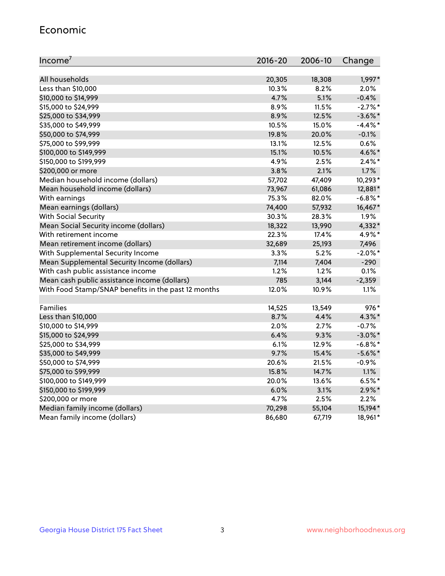#### Economic

| Income <sup>7</sup>                                 | 2016-20 | 2006-10 | Change     |
|-----------------------------------------------------|---------|---------|------------|
|                                                     |         |         |            |
| All households                                      | 20,305  | 18,308  | 1,997*     |
| Less than \$10,000                                  | 10.3%   | 8.2%    | 2.0%       |
| \$10,000 to \$14,999                                | 4.7%    | 5.1%    | $-0.4%$    |
| \$15,000 to \$24,999                                | 8.9%    | 11.5%   | $-2.7%$ *  |
| \$25,000 to \$34,999                                | 8.9%    | 12.5%   | $-3.6\%$ * |
| \$35,000 to \$49,999                                | 10.5%   | 15.0%   | $-4.4\%$ * |
| \$50,000 to \$74,999                                | 19.8%   | 20.0%   | $-0.1%$    |
| \$75,000 to \$99,999                                | 13.1%   | 12.5%   | 0.6%       |
| \$100,000 to \$149,999                              | 15.1%   | 10.5%   | 4.6%*      |
| \$150,000 to \$199,999                              | 4.9%    | 2.5%    | $2.4\%$ *  |
| \$200,000 or more                                   | 3.8%    | 2.1%    | 1.7%       |
| Median household income (dollars)                   | 57,702  | 47,409  | 10,293*    |
| Mean household income (dollars)                     | 73,967  | 61,086  | 12,881*    |
| With earnings                                       | 75.3%   | 82.0%   | $-6.8\%$ * |
| Mean earnings (dollars)                             | 74,400  | 57,932  | 16,467*    |
| <b>With Social Security</b>                         | 30.3%   | 28.3%   | 1.9%       |
| Mean Social Security income (dollars)               | 18,322  | 13,990  | 4,332*     |
| With retirement income                              | 22.3%   | 17.4%   | 4.9%*      |
| Mean retirement income (dollars)                    | 32,689  | 25,193  | 7,496      |
| With Supplemental Security Income                   | $3.3\%$ | 5.2%    | $-2.0\%$ * |
| Mean Supplemental Security Income (dollars)         | 7,114   | 7,404   | $-290$     |
| With cash public assistance income                  | 1.2%    | 1.2%    | 0.1%       |
| Mean cash public assistance income (dollars)        | 785     | 3,144   | $-2,359$   |
| With Food Stamp/SNAP benefits in the past 12 months | 12.0%   | 10.9%   | 1.1%       |
|                                                     |         |         |            |
| Families                                            | 14,525  | 13,549  | 976*       |
| Less than \$10,000                                  | 8.7%    | 4.4%    | $4.3\%$ *  |
| \$10,000 to \$14,999                                | 2.0%    | 2.7%    | $-0.7%$    |
| \$15,000 to \$24,999                                | 6.4%    | 9.3%    | $-3.0\%$ * |
| \$25,000 to \$34,999                                | 6.1%    | 12.9%   | $-6.8\%$ * |
| \$35,000 to \$49,999                                | 9.7%    | 15.4%   | $-5.6\%$ * |
| \$50,000 to \$74,999                                | 20.6%   | 21.5%   | $-0.9%$    |
| \$75,000 to \$99,999                                | 15.8%   | 14.7%   | 1.1%       |
| \$100,000 to \$149,999                              | 20.0%   | 13.6%   | $6.5%$ *   |
| \$150,000 to \$199,999                              | 6.0%    | 3.1%    | $2.9\%$ *  |
| \$200,000 or more                                   | 4.7%    | 2.5%    | 2.2%       |
| Median family income (dollars)                      | 70,298  | 55,104  | 15,194*    |
| Mean family income (dollars)                        | 86,680  | 67,719  | 18,961*    |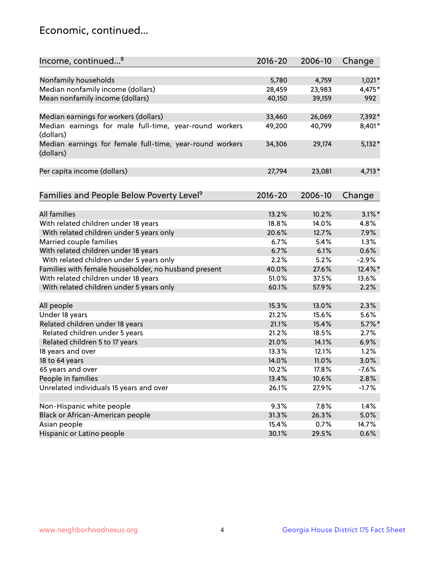## Economic, continued...

| Income, continued <sup>8</sup>                                        | $2016 - 20$ | 2006-10 | Change    |
|-----------------------------------------------------------------------|-------------|---------|-----------|
|                                                                       |             |         |           |
| Nonfamily households                                                  | 5,780       | 4,759   | $1,021*$  |
| Median nonfamily income (dollars)                                     | 28,459      | 23,983  | 4,475*    |
| Mean nonfamily income (dollars)                                       | 40,150      | 39,159  | 992       |
|                                                                       |             |         |           |
| Median earnings for workers (dollars)                                 | 33,460      | 26,069  | 7,392*    |
| Median earnings for male full-time, year-round workers<br>(dollars)   | 49,200      | 40,799  | 8,401*    |
| Median earnings for female full-time, year-round workers<br>(dollars) | 34,306      | 29,174  | $5,132*$  |
| Per capita income (dollars)                                           | 27,794      | 23,081  | $4,713*$  |
|                                                                       | 2016-20     | 2006-10 |           |
| Families and People Below Poverty Level <sup>9</sup>                  |             |         | Change    |
| <b>All families</b>                                                   | 13.2%       | 10.2%   | $3.1\%$ * |
| With related children under 18 years                                  | 18.8%       | 14.0%   | 4.8%      |
| With related children under 5 years only                              | 20.6%       | 12.7%   | 7.9%      |
| Married couple families                                               | 6.7%        | 5.4%    | 1.3%      |
| With related children under 18 years                                  | 6.7%        | 6.1%    | 0.6%      |
| With related children under 5 years only                              | 2.2%        | 5.2%    | $-2.9%$   |
| Families with female householder, no husband present                  | 40.0%       | 27.6%   | 12.4%*    |
| With related children under 18 years                                  | 51.0%       | 37.5%   | 13.6%     |
| With related children under 5 years only                              | 60.1%       | 57.9%   | 2.2%      |
|                                                                       |             |         |           |
| All people                                                            | 15.3%       | 13.0%   | 2.3%      |
| Under 18 years                                                        | 21.2%       | 15.6%   | 5.6%      |
| Related children under 18 years                                       | 21.1%       | 15.4%   | $5.7\%$ * |
| Related children under 5 years                                        | 21.2%       | 18.5%   | 2.7%      |
| Related children 5 to 17 years                                        | 21.0%       | 14.1%   | 6.9%      |
| 18 years and over                                                     | 13.3%       | 12.1%   | 1.2%      |
| 18 to 64 years                                                        | 14.0%       | 11.0%   | 3.0%      |
| 65 years and over                                                     | 10.2%       | 17.8%   | $-7.6%$   |
| People in families                                                    | 13.4%       | 10.6%   | 2.8%      |
| Unrelated individuals 15 years and over                               | 26.1%       | 27.9%   | $-1.7%$   |
|                                                                       |             |         |           |
| Non-Hispanic white people                                             | 9.3%        | 7.8%    | 1.4%      |
| Black or African-American people                                      | 31.3%       | 26.3%   | 5.0%      |
| Asian people                                                          | 15.4%       | 0.7%    | 14.7%     |
| Hispanic or Latino people                                             | 30.1%       | 29.5%   | 0.6%      |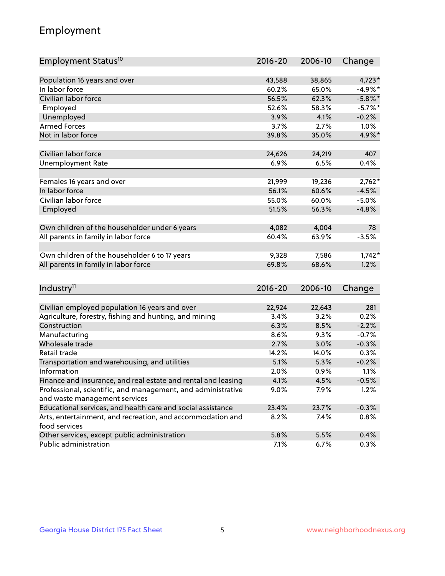## Employment

| Employment Status <sup>10</sup>                               | $2016 - 20$ | 2006-10 | Change     |
|---------------------------------------------------------------|-------------|---------|------------|
|                                                               |             |         |            |
| Population 16 years and over<br>In labor force                | 43,588      | 38,865  | $4,723*$   |
| Civilian labor force                                          | 60.2%       | 65.0%   | $-4.9%$ *  |
|                                                               | 56.5%       | 62.3%   | $-5.8\%$ * |
| Employed                                                      | 52.6%       | 58.3%   | $-5.7\%$ * |
| Unemployed                                                    | 3.9%        | 4.1%    | $-0.2%$    |
| <b>Armed Forces</b>                                           | 3.7%        | 2.7%    | 1.0%       |
| Not in labor force                                            | 39.8%       | 35.0%   | 4.9%*      |
| Civilian labor force                                          | 24,626      | 24,219  | 407        |
| <b>Unemployment Rate</b>                                      | 6.9%        | 6.5%    | 0.4%       |
|                                                               |             |         |            |
| Females 16 years and over                                     | 21,999      | 19,236  | $2,762*$   |
| In labor force                                                | 56.1%       | 60.6%   | $-4.5%$    |
| Civilian labor force                                          | 55.0%       | 60.0%   | $-5.0%$    |
| Employed                                                      | 51.5%       | 56.3%   | $-4.8%$    |
|                                                               |             |         |            |
| Own children of the householder under 6 years                 | 4,082       | 4,004   | 78         |
| All parents in family in labor force                          | 60.4%       | 63.9%   | $-3.5%$    |
| Own children of the householder 6 to 17 years                 | 9,328       | 7,586   | $1,742*$   |
| All parents in family in labor force                          | 69.8%       | 68.6%   | 1.2%       |
|                                                               |             |         |            |
| Industry <sup>11</sup>                                        | $2016 - 20$ | 2006-10 | Change     |
|                                                               |             |         |            |
| Civilian employed population 16 years and over                | 22,924      | 22,643  | 281        |
| Agriculture, forestry, fishing and hunting, and mining        | 3.4%        | 3.2%    | 0.2%       |
| Construction                                                  | 6.3%        | 8.5%    | $-2.2%$    |
| Manufacturing                                                 | 8.6%        | 9.3%    | $-0.7%$    |
| Wholesale trade                                               | 2.7%        | 3.0%    | $-0.3%$    |
| Retail trade                                                  | 14.2%       | 14.0%   | 0.3%       |
| Transportation and warehousing, and utilities                 | 5.1%        | 5.3%    | $-0.2%$    |
| Information                                                   | 2.0%        | 0.9%    | 1.1%       |
| Finance and insurance, and real estate and rental and leasing | 4.1%        | 4.5%    | $-0.5%$    |
| Professional, scientific, and management, and administrative  | $9.0\%$     | 7.9%    | 1.2%       |
| and waste management services                                 |             |         |            |
| Educational services, and health care and social assistance   | 23.4%       | 23.7%   | $-0.3%$    |
| Arts, entertainment, and recreation, and accommodation and    | 8.2%        | 7.4%    | 0.8%       |
| food services                                                 |             |         |            |
| Other services, except public administration                  | 5.8%        | 5.5%    | 0.4%       |
| Public administration                                         | 7.1%        | 6.7%    | 0.3%       |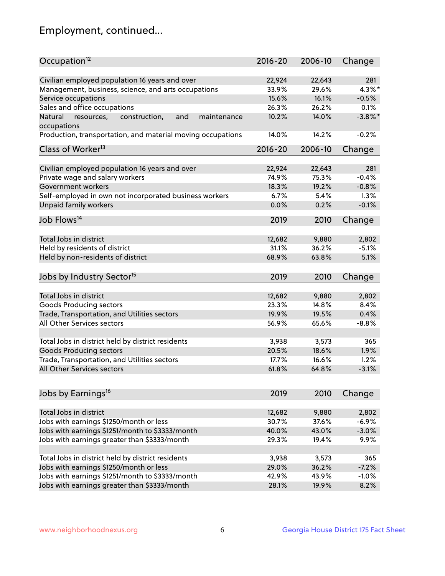## Employment, continued...

| Occupation <sup>12</sup>                                                    | $2016 - 20$    | 2006-10         | Change               |
|-----------------------------------------------------------------------------|----------------|-----------------|----------------------|
| Civilian employed population 16 years and over                              |                |                 | 281                  |
|                                                                             | 22,924         | 22,643<br>29.6% |                      |
| Management, business, science, and arts occupations<br>Service occupations  | 33.9%<br>15.6% | 16.1%           | $4.3\%$ *<br>$-0.5%$ |
|                                                                             |                |                 |                      |
| Sales and office occupations                                                | 26.3%          | 26.2%           | 0.1%                 |
| Natural<br>and<br>resources,<br>construction,<br>maintenance<br>occupations | 10.2%          | 14.0%           | $-3.8\%$ *           |
| Production, transportation, and material moving occupations                 | 14.0%          | 14.2%           | $-0.2%$              |
| Class of Worker <sup>13</sup>                                               | 2016-20        | 2006-10         | Change               |
|                                                                             |                |                 |                      |
| Civilian employed population 16 years and over                              | 22,924         | 22,643          | 281                  |
| Private wage and salary workers                                             | 74.9%          | 75.3%           | $-0.4%$              |
| Government workers                                                          | 18.3%          | 19.2%           | $-0.8%$              |
| Self-employed in own not incorporated business workers                      | 6.7%           | 5.4%            | 1.3%                 |
| Unpaid family workers                                                       | 0.0%           | 0.2%            | $-0.1%$              |
| Job Flows <sup>14</sup>                                                     | 2019           | 2010            | Change               |
|                                                                             |                |                 |                      |
| Total Jobs in district                                                      | 12,682         | 9,880           | 2,802                |
| Held by residents of district                                               | 31.1%          | 36.2%           | $-5.1%$              |
| Held by non-residents of district                                           | 68.9%          | 63.8%           | 5.1%                 |
| Jobs by Industry Sector <sup>15</sup>                                       | 2019           | 2010            | Change               |
|                                                                             |                |                 |                      |
| Total Jobs in district                                                      | 12,682         | 9,880           | 2,802                |
| Goods Producing sectors                                                     | 23.3%          | 14.8%           | 8.4%                 |
| Trade, Transportation, and Utilities sectors                                | 19.9%          | 19.5%           | 0.4%                 |
| All Other Services sectors                                                  | 56.9%          | 65.6%           | $-8.8%$              |
|                                                                             |                |                 |                      |
| Total Jobs in district held by district residents                           | 3,938          | 3,573           | 365                  |
| <b>Goods Producing sectors</b>                                              | 20.5%          | 18.6%           | 1.9%                 |
| Trade, Transportation, and Utilities sectors                                | 17.7%          | 16.6%           | 1.2%                 |
| All Other Services sectors                                                  | 61.8%          | 64.8%           | $-3.1%$              |
|                                                                             |                |                 |                      |
| Jobs by Earnings <sup>16</sup>                                              | 2019           | 2010            | Change               |
|                                                                             |                |                 |                      |
| Total Jobs in district                                                      | 12,682         | 9,880           | 2,802                |
| Jobs with earnings \$1250/month or less                                     | 30.7%          | 37.6%           | $-6.9%$              |
| Jobs with earnings \$1251/month to \$3333/month                             | 40.0%          | 43.0%           | $-3.0%$              |
| Jobs with earnings greater than \$3333/month                                | 29.3%          | 19.4%           | 9.9%                 |
|                                                                             |                |                 |                      |
| Total Jobs in district held by district residents                           | 3,938          | 3,573           | 365                  |
| Jobs with earnings \$1250/month or less                                     | 29.0%          | 36.2%           | $-7.2%$              |
| Jobs with earnings \$1251/month to \$3333/month                             | 42.9%          | 43.9%           | $-1.0%$              |
| Jobs with earnings greater than \$3333/month                                | 28.1%          | 19.9%           | 8.2%                 |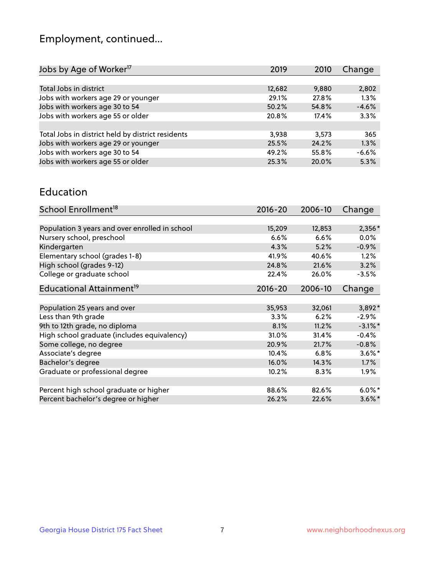## Employment, continued...

| Change<br>2019<br>2010    |
|---------------------------|
|                           |
| 12,682<br>9,880<br>2,802  |
| 1.3%<br>29.1%<br>27.8%    |
| $-4.6%$<br>50.2%<br>54.8% |
| 3.3%<br>20.8%<br>17.4%    |
|                           |
| 365<br>3,938<br>3.573     |
| 25.5%<br>1.3%<br>24.2%    |
| $-6.6%$<br>49.2%<br>55.8% |
| 5.3%<br>25.3%<br>20.0%    |
|                           |

#### Education

| School Enrollment <sup>18</sup>                | $2016 - 20$ | 2006-10 | Change     |
|------------------------------------------------|-------------|---------|------------|
|                                                |             |         |            |
| Population 3 years and over enrolled in school | 15,209      | 12,853  | 2,356*     |
| Nursery school, preschool                      | 6.6%        | 6.6%    | $0.0\%$    |
| Kindergarten                                   | 4.3%        | 5.2%    | $-0.9%$    |
| Elementary school (grades 1-8)                 | 41.9%       | 40.6%   | 1.2%       |
| High school (grades 9-12)                      | 24.8%       | 21.6%   | 3.2%       |
| College or graduate school                     | 22.4%       | 26.0%   | $-3.5%$    |
| Educational Attainment <sup>19</sup>           | $2016 - 20$ | 2006-10 | Change     |
|                                                |             |         |            |
| Population 25 years and over                   | 35,953      | 32,061  | 3,892*     |
| Less than 9th grade                            | 3.3%        | 6.2%    | $-2.9%$    |
| 9th to 12th grade, no diploma                  | 8.1%        | 11.2%   | $-3.1\%$ * |
| High school graduate (includes equivalency)    | 31.0%       | 31.4%   | $-0.4%$    |
| Some college, no degree                        | 20.9%       | 21.7%   | $-0.8%$    |
| Associate's degree                             | 10.4%       | 6.8%    | $3.6\%$ *  |
| Bachelor's degree                              | 16.0%       | 14.3%   | 1.7%       |
| Graduate or professional degree                | 10.2%       | 8.3%    | $1.9\%$    |
|                                                |             |         |            |
| Percent high school graduate or higher         | 88.6%       | 82.6%   | $6.0\%$ *  |
| Percent bachelor's degree or higher            | 26.2%       | 22.6%   | $3.6\%$ *  |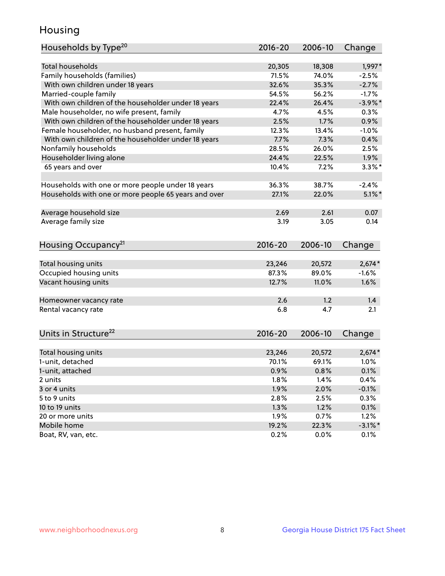## Housing

| Households by Type <sup>20</sup>                     | 2016-20 | 2006-10 | Change     |
|------------------------------------------------------|---------|---------|------------|
|                                                      |         |         |            |
| <b>Total households</b>                              | 20,305  | 18,308  | 1,997*     |
| Family households (families)                         | 71.5%   | 74.0%   | $-2.5%$    |
| With own children under 18 years                     | 32.6%   | 35.3%   | $-2.7%$    |
| Married-couple family                                | 54.5%   | 56.2%   | $-1.7%$    |
| With own children of the householder under 18 years  | 22.4%   | 26.4%   | $-3.9\%$ * |
| Male householder, no wife present, family            | 4.7%    | 4.5%    | 0.3%       |
| With own children of the householder under 18 years  | 2.5%    | 1.7%    | 0.9%       |
| Female householder, no husband present, family       | 12.3%   | 13.4%   | $-1.0%$    |
| With own children of the householder under 18 years  | 7.7%    | 7.3%    | 0.4%       |
| Nonfamily households                                 | 28.5%   | 26.0%   | 2.5%       |
| Householder living alone                             | 24.4%   | 22.5%   | 1.9%       |
| 65 years and over                                    | 10.4%   | 7.2%    | $3.3\%$ *  |
|                                                      |         |         |            |
| Households with one or more people under 18 years    | 36.3%   | 38.7%   | $-2.4%$    |
| Households with one or more people 65 years and over | 27.1%   | 22.0%   | $5.1\%$ *  |
|                                                      |         |         |            |
| Average household size                               | 2.69    | 2.61    | 0.07       |
| Average family size                                  | 3.19    | 3.05    | 0.14       |
|                                                      |         |         |            |
| Housing Occupancy <sup>21</sup>                      | 2016-20 | 2006-10 | Change     |
|                                                      |         |         |            |
| Total housing units                                  | 23,246  | 20,572  | $2,674*$   |
| Occupied housing units                               | 87.3%   | 89.0%   | $-1.6%$    |
| Vacant housing units                                 | 12.7%   | 11.0%   | 1.6%       |
|                                                      |         |         |            |
| Homeowner vacancy rate                               | 2.6     | 1.2     | 1.4        |
| Rental vacancy rate                                  | 6.8     | 4.7     | 2.1        |
|                                                      |         |         |            |
| Units in Structure <sup>22</sup>                     | 2016-20 | 2006-10 |            |
|                                                      |         |         | Change     |
| Total housing units                                  | 23,246  | 20,572  | $2,674*$   |
| 1-unit, detached                                     | 70.1%   | 69.1%   | 1.0%       |
| 1-unit, attached                                     | 0.9%    | 0.8%    | 0.1%       |
| 2 units                                              | 1.8%    | 1.4%    | 0.4%       |
| 3 or 4 units                                         | 1.9%    | 2.0%    | $-0.1%$    |
| 5 to 9 units                                         | 2.8%    | 2.5%    | 0.3%       |
| 10 to 19 units                                       | 1.3%    | 1.2%    | 0.1%       |
| 20 or more units                                     | 1.9%    | 0.7%    | 1.2%       |
| Mobile home                                          | 19.2%   | 22.3%   | $-3.1\%$ * |
| Boat, RV, van, etc.                                  | 0.2%    | 0.0%    | 0.1%       |
|                                                      |         |         |            |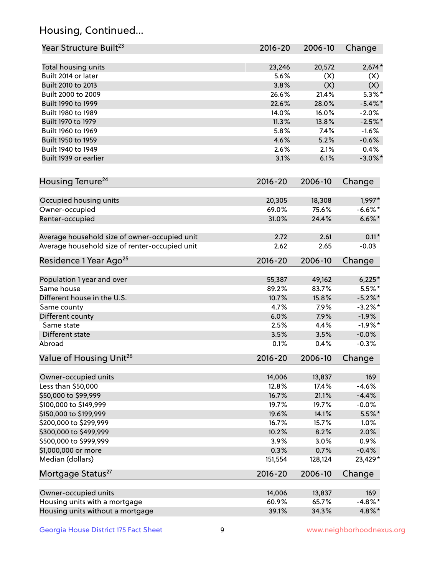## Housing, Continued...

| Year Structure Built <sup>23</sup>             | 2016-20         | 2006-10 | Change               |
|------------------------------------------------|-----------------|---------|----------------------|
| Total housing units                            | 23,246          | 20,572  | $2,674*$             |
| Built 2014 or later                            | 5.6%            | (X)     | (X)                  |
| Built 2010 to 2013                             | 3.8%            | (X)     | (X)                  |
| Built 2000 to 2009                             | 26.6%           | 21.4%   | $5.3\%$ *            |
| Built 1990 to 1999                             | 22.6%           | 28.0%   | $-5.4\%$ *           |
| Built 1980 to 1989                             | 14.0%           | 16.0%   | $-2.0%$              |
| Built 1970 to 1979                             | 11.3%           | 13.8%   | $-2.5%$ *            |
| Built 1960 to 1969                             | 5.8%            | 7.4%    | $-1.6%$              |
| Built 1950 to 1959                             | 4.6%            | 5.2%    | $-0.6%$              |
| Built 1940 to 1949                             | 2.6%            | 2.1%    | 0.4%                 |
| Built 1939 or earlier                          | 3.1%            | 6.1%    | $-3.0\%$ *           |
| Housing Tenure <sup>24</sup>                   | $2016 - 20$     | 2006-10 | Change               |
|                                                |                 | 18,308  |                      |
| Occupied housing units                         | 20,305<br>69.0% | 75.6%   | 1,997*<br>$-6.6\%$ * |
| Owner-occupied<br>Renter-occupied              | 31.0%           | 24.4%   | $6.6\%*$             |
|                                                |                 |         |                      |
| Average household size of owner-occupied unit  | 2.72            | 2.61    | $0.11*$              |
| Average household size of renter-occupied unit | 2.62            | 2.65    | $-0.03$              |
| Residence 1 Year Ago <sup>25</sup>             | $2016 - 20$     | 2006-10 | Change               |
| Population 1 year and over                     | 55,387          | 49,162  | $6,225*$             |
| Same house                                     | 89.2%           | 83.7%   | $5.5%$ *             |
| Different house in the U.S.                    | 10.7%           | 15.8%   | $-5.2\%$ *           |
| Same county                                    | 4.7%            | 7.9%    | $-3.2\%$ *           |
| Different county                               | 6.0%            | 7.9%    | $-1.9%$              |
| Same state                                     | 2.5%            | 4.4%    | $-1.9%$ *            |
| Different state                                | 3.5%            | 3.5%    | $-0.0%$              |
| Abroad                                         | 0.1%            | 0.4%    | $-0.3%$              |
| Value of Housing Unit <sup>26</sup>            | $2016 - 20$     | 2006-10 | Change               |
| Owner-occupied units                           | 14,006          | 13,837  | 169                  |
| Less than \$50,000                             | 12.8%           | 17.4%   | $-4.6%$              |
| \$50,000 to \$99,999                           | 16.7%           | 21.1%   | $-4.4%$              |
| \$100,000 to \$149,999                         | 19.7%           | 19.7%   | $-0.0%$              |
| \$150,000 to \$199,999                         | 19.6%           | 14.1%   | $5.5\%$ *            |
| \$200,000 to \$299,999                         | 16.7%           | 15.7%   | 1.0%                 |
| \$300,000 to \$499,999                         | 10.2%           | 8.2%    | 2.0%                 |
| \$500,000 to \$999,999                         | 3.9%            | 3.0%    | 0.9%                 |
| \$1,000,000 or more                            | 0.3%            | 0.7%    | $-0.4%$              |
| Median (dollars)                               | 151,554         | 128,124 | 23,429*              |
| Mortgage Status <sup>27</sup>                  | $2016 - 20$     | 2006-10 | Change               |
|                                                |                 |         |                      |
| Owner-occupied units                           | 14,006          | 13,837  | 169                  |
| Housing units with a mortgage                  | 60.9%           | 65.7%   | $-4.8\%$ *           |
| Housing units without a mortgage               | 39.1%           | 34.3%   | 4.8%*                |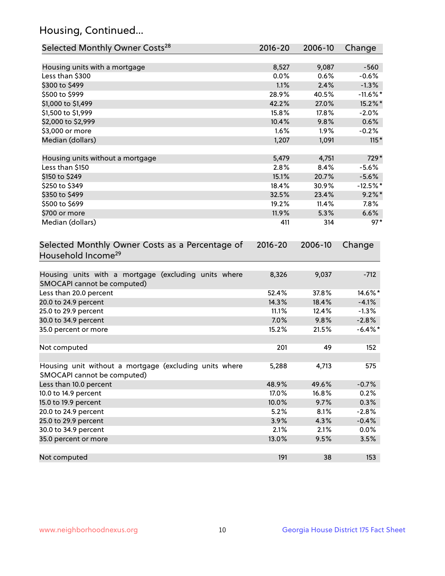## Housing, Continued...

| Selected Monthly Owner Costs <sup>28</sup>                                            | 2016-20     | 2006-10 | Change      |
|---------------------------------------------------------------------------------------|-------------|---------|-------------|
| Housing units with a mortgage                                                         | 8,527       | 9,087   | $-560$      |
| Less than \$300                                                                       | 0.0%        | 0.6%    | $-0.6%$     |
| \$300 to \$499                                                                        | 1.1%        | 2.4%    | $-1.3%$     |
| \$500 to \$999                                                                        | 28.9%       | 40.5%   | $-11.6\%$ * |
| \$1,000 to \$1,499                                                                    | 42.2%       | 27.0%   | 15.2%*      |
| \$1,500 to \$1,999                                                                    | 15.8%       | 17.8%   | $-2.0%$     |
| \$2,000 to \$2,999                                                                    | 10.4%       | 9.8%    | 0.6%        |
| \$3,000 or more                                                                       | 1.6%        | $1.9\%$ | $-0.2%$     |
| Median (dollars)                                                                      | 1,207       | 1,091   | $115*$      |
| Housing units without a mortgage                                                      | 5,479       | 4,751   | 729*        |
| Less than \$150                                                                       | 2.8%        | 8.4%    | $-5.6%$     |
| \$150 to \$249                                                                        | 15.1%       | 20.7%   | $-5.6%$     |
| \$250 to \$349                                                                        | 18.4%       | 30.9%   | $-12.5%$ *  |
| \$350 to \$499                                                                        | 32.5%       | 23.4%   | $9.2\%$ *   |
| \$500 to \$699                                                                        | 19.2%       | 11.4%   | 7.8%        |
| \$700 or more                                                                         | 11.9%       | 5.3%    | 6.6%        |
| Median (dollars)                                                                      | 411         | 314     | $97*$       |
| Selected Monthly Owner Costs as a Percentage of<br>Household Income <sup>29</sup>     | $2016 - 20$ | 2006-10 | Change      |
| Housing units with a mortgage (excluding units where<br>SMOCAPI cannot be computed)   | 8,326       | 9,037   | $-712$      |
| Less than 20.0 percent                                                                | 52.4%       | 37.8%   | 14.6%*      |
| 20.0 to 24.9 percent                                                                  | 14.3%       | 18.4%   | $-4.1%$     |
| 25.0 to 29.9 percent                                                                  | 11.1%       | 12.4%   | $-1.3%$     |
| 30.0 to 34.9 percent                                                                  | 7.0%        | 9.8%    | $-2.8%$     |
| 35.0 percent or more                                                                  | 15.2%       | 21.5%   | $-6.4\%$ *  |
| Not computed                                                                          | 201         | 49      | 152         |
| Housing unit without a mortgage (excluding units where<br>SMOCAPI cannot be computed) | 5,288       | 4,713   | 575         |
| Less than 10.0 percent                                                                | 48.9%       | 49.6%   | $-0.7%$     |
| 10.0 to 14.9 percent                                                                  | 17.0%       | 16.8%   | 0.2%        |
| 15.0 to 19.9 percent                                                                  | 10.0%       | 9.7%    | 0.3%        |
| 20.0 to 24.9 percent                                                                  | 5.2%        | 8.1%    | $-2.8%$     |
| 25.0 to 29.9 percent                                                                  | 3.9%        | 4.3%    | $-0.4%$     |
| 30.0 to 34.9 percent                                                                  | 2.1%        | 2.1%    | 0.0%        |
| 35.0 percent or more                                                                  | 13.0%       | 9.5%    | 3.5%        |
| Not computed                                                                          | 191         | 38      | 153         |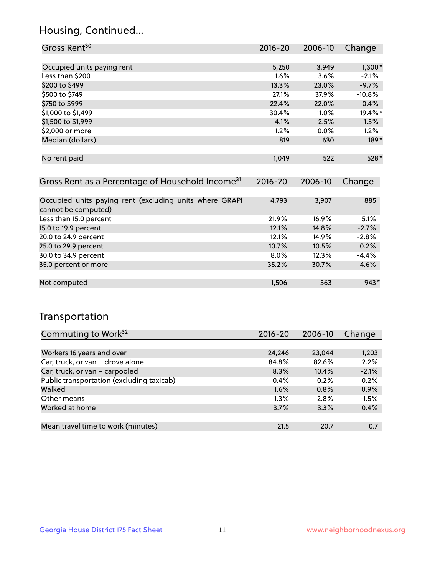## Housing, Continued...

| Gross Rent <sup>30</sup>                                     | 2016-20     | 2006-10 | Change   |
|--------------------------------------------------------------|-------------|---------|----------|
|                                                              |             |         |          |
| Occupied units paying rent                                   | 5,250       | 3,949   | $1,300*$ |
| Less than \$200                                              | 1.6%        | 3.6%    | $-2.1%$  |
| \$200 to \$499                                               | 13.3%       | 23.0%   | $-9.7%$  |
| \$500 to \$749                                               | 27.1%       | 37.9%   | $-10.8%$ |
| \$750 to \$999                                               | 22.4%       | 22.0%   | 0.4%     |
| \$1,000 to \$1,499                                           | 30.4%       | 11.0%   | 19.4%*   |
| \$1,500 to \$1,999                                           | 4.1%        | 2.5%    | 1.5%     |
| \$2,000 or more                                              | 1.2%        | $0.0\%$ | 1.2%     |
| Median (dollars)                                             | 819         | 630     | $189*$   |
|                                                              |             |         |          |
| No rent paid                                                 | 1,049       | 522     | 528*     |
|                                                              |             |         |          |
| Gross Rent as a Percentage of Household Income <sup>31</sup> | $2016 - 20$ | 2006-10 | Change   |

| Occupied units paying rent (excluding units where GRAPI<br>cannot be computed) | 4,793   | 3,907    | 885     |
|--------------------------------------------------------------------------------|---------|----------|---------|
| Less than 15.0 percent                                                         | 21.9%   | $16.9\%$ | 5.1%    |
| 15.0 to 19.9 percent                                                           | 12.1%   | 14.8%    | $-2.7%$ |
| 20.0 to 24.9 percent                                                           | 12.1%   | 14.9%    | $-2.8%$ |
| 25.0 to 29.9 percent                                                           | 10.7%   | 10.5%    | 0.2%    |
| 30.0 to 34.9 percent                                                           | $8.0\%$ | 12.3%    | $-4.4%$ |
| 35.0 percent or more                                                           | 35.2%   | 30.7%    | 4.6%    |
|                                                                                |         |          |         |
| Not computed                                                                   | 1,506   | 563      | $943*$  |

## Transportation

| Commuting to Work <sup>32</sup>           | 2016-20 | 2006-10 | Change  |
|-------------------------------------------|---------|---------|---------|
|                                           |         |         |         |
| Workers 16 years and over                 | 24,246  | 23,044  | 1,203   |
| Car, truck, or van - drove alone          | 84.8%   | 82.6%   | 2.2%    |
| Car, truck, or van - carpooled            | 8.3%    | 10.4%   | $-2.1%$ |
| Public transportation (excluding taxicab) | $0.4\%$ | 0.2%    | 0.2%    |
| Walked                                    | 1.6%    | 0.8%    | 0.9%    |
| Other means                               | $1.3\%$ | 2.8%    | $-1.5%$ |
| Worked at home                            | 3.7%    | 3.3%    | 0.4%    |
|                                           |         |         |         |
| Mean travel time to work (minutes)        | 21.5    | 20.7    | 0.7     |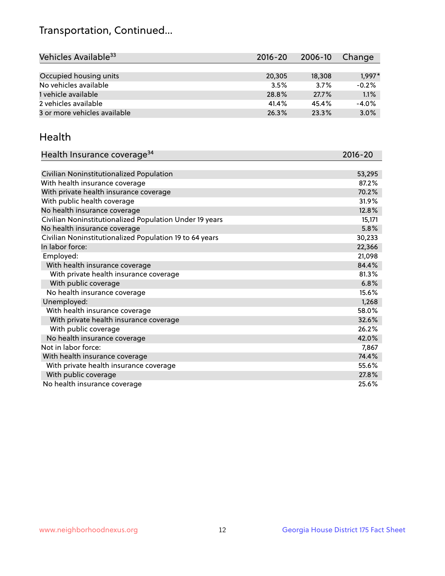## Transportation, Continued...

| Vehicles Available <sup>33</sup> | $2016 - 20$ | 2006-10 | Change   |
|----------------------------------|-------------|---------|----------|
|                                  |             |         |          |
| Occupied housing units           | 20,305      | 18,308  | $1,997*$ |
| No vehicles available            | 3.5%        | 3.7%    | $-0.2%$  |
| 1 vehicle available              | 28.8%       | 27.7%   | 1.1%     |
| 2 vehicles available             | 41.4%       | 45.4%   | $-4.0%$  |
| 3 or more vehicles available     | 26.3%       | 23.3%   | 3.0%     |

#### Health

| Health Insurance coverage <sup>34</sup>                 | 2016-20 |
|---------------------------------------------------------|---------|
|                                                         |         |
| Civilian Noninstitutionalized Population                | 53,295  |
| With health insurance coverage                          | 87.2%   |
| With private health insurance coverage                  | 70.2%   |
| With public health coverage                             | 31.9%   |
| No health insurance coverage                            | 12.8%   |
| Civilian Noninstitutionalized Population Under 19 years | 15,171  |
| No health insurance coverage                            | 5.8%    |
| Civilian Noninstitutionalized Population 19 to 64 years | 30,233  |
| In labor force:                                         | 22,366  |
| Employed:                                               | 21,098  |
| With health insurance coverage                          | 84.4%   |
| With private health insurance coverage                  | 81.3%   |
| With public coverage                                    | 6.8%    |
| No health insurance coverage                            | 15.6%   |
| Unemployed:                                             | 1,268   |
| With health insurance coverage                          | 58.0%   |
| With private health insurance coverage                  | 32.6%   |
| With public coverage                                    | 26.2%   |
| No health insurance coverage                            | 42.0%   |
| Not in labor force:                                     | 7,867   |
| With health insurance coverage                          | 74.4%   |
| With private health insurance coverage                  | 55.6%   |
| With public coverage                                    | 27.8%   |
| No health insurance coverage                            | 25.6%   |